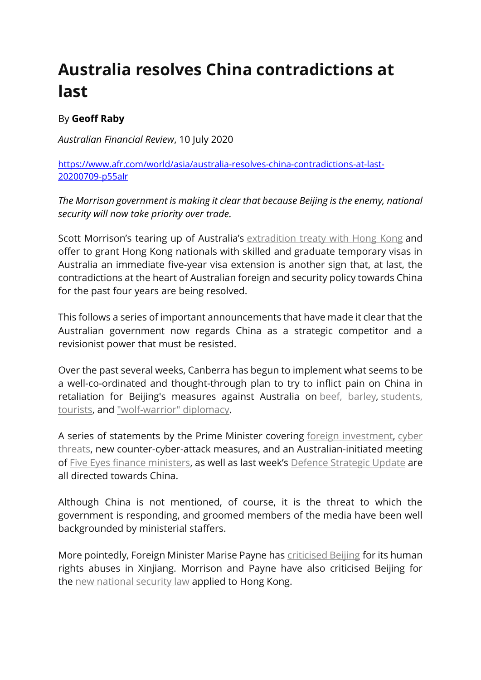## **Australia resolves China contradictions at last**

## By **Geoff Raby**

*Australian Financial Review*, 10 July 2020

[https://www.afr.com/world/asia/australia-resolves-china-contradictions-at-last-](https://www.afr.com/world/asia/australia-resolves-china-contradictions-at-last-20200709-p55alr)[20200709-p55alr](https://www.afr.com/world/asia/australia-resolves-china-contradictions-at-last-20200709-p55alr)

*The Morrison government is making it clear that because Beijing is the enemy, national security will now take priority over trade.*

Scott Morrison's tearing up of Australia's [extradition](https://www.smh.com.au/world/asia/australia-suspends-hong-kong-extradition-treaty-extends-hong-kongers-visas-after-security-law-imposed-20200709-p55ak8.html) treaty with Hong Kong and offer to grant Hong Kong nationals with skilled and graduate temporary visas in Australia an immediate five-year visa extension is another sign that, at last, the contradictions at the heart of Australian foreign and security policy towards China for the past four years are being resolved.

This follows a series of important announcements that have made it clear that the Australian government now regards China as a strategic competitor and a revisionist power that must be resisted.

Over the past several weeks, Canberra has begun to implement what seems to be a well-co-ordinated and thought-through plan to try to inflict pain on China in retaliation for Beijing's measures against Australia on beef, [barley,](https://www.afr.com/world/asia/china-links-australia-barley-tariffs-to-past-trade-disputes-20200526-p54wc5) [students,](https://www.afr.com/politics/federal/australia-protests-china-s-travel-student-warning-20200610-p5516x) [tourists,](https://www.afr.com/politics/federal/australia-protests-china-s-travel-student-warning-20200610-p5516x) and ["wolf-warrior"](https://www.afr.com/politics/federal/china-s-wolf-warriors-abandon-diplomatic-niceties-20200521-p54v5v) diplomacy.

A series of statements by the Prime Minister covering foreign [investment,](https://www.afr.com/politics/federal/tighter-tests-for-foreign-investors-20200604-p54zj9) [cyber](https://www.afr.com/politics/federal/surge-in-cyber-attacks-amid-china-tensions-20200619-p554av) [threats,](https://www.afr.com/politics/federal/surge-in-cyber-attacks-amid-china-tensions-20200619-p554av) new counter-cyber-attack measures, and an Australian-initiated meeting of Five Eyes finance [ministers](https://www.afr.com/politics/federal/the-rupture-with-china-is-permanent-20200621-p554r8), as well as last week's Defence [Strategic](https://www.afr.com/politics/federal/australia-s-military-muscle-receives-a-shot-in-the-arm-20200702-p558ah) Update are all directed towards China.

Although China is not mentioned, of course, it is the threat to which the government is responding, and groomed members of the media have been well backgrounded by ministerial staffers.

More pointedly, Foreign Minister Marise Payne has [criticised](https://www.smh.com.au/politics/federal/australia-will-take-a-firm-stand-in-rapidly-changing-global-relations-foreign-affairs-minister-says-20191029-p535ig.html) Beijing for its human rights abuses in Xinjiang. Morrison and Payne have also criticised Beijing for the new [national](https://www.afr.com/world/asia/australia-condemns-hong-kong-security-laws-but-says-no-china-sanctions-20200529-p54xm3) security law applied to Hong Kong.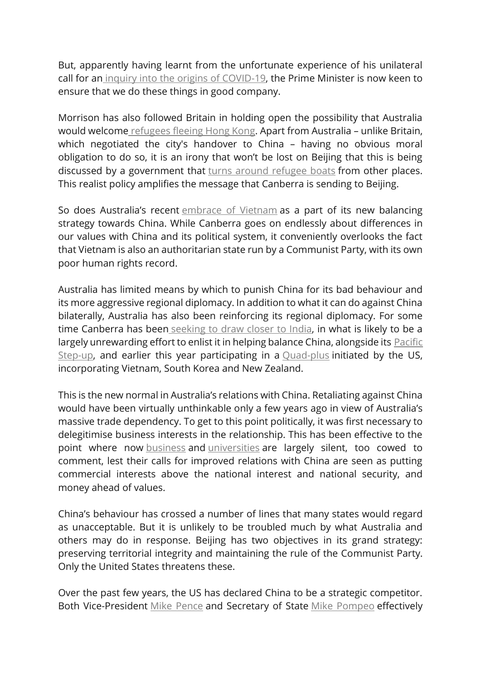But, apparently having learnt from the unfortunate experience of his unilateral call for an inquiry into the origins of [COVID-19,](https://www.afr.com/politics/federal/china-consumer-backlash-looms-over-morrison-s-coronavirus-probe-20200423-p54mpl) the Prime Minister is now keen to ensure that we do these things in good company.

Morrison has also followed Britain in holding open the possibility that Australia would welcome [refugees](https://www.afr.com/link/follow-20180101-p558fo) fleeing Hong Kong. Apart from Australia – unlike Britain, which negotiated the city's handover to China - having no obvious moral obligation to do so, it is an irony that won't be lost on Beijing that this is being discussed by a government that turns around [refugee](https://www.afr.com/policy/foreign-affairs/navy-resisted-morrison-plan-to-turn-back-asylum-seeker-boats-20200521-p54v2a) boats from other places. This realist policy amplifies the message that Canberra is sending to Beijing.

So does Australia's recent [embrace](https://www.afr.com/world/asia/what-vietnam-is-looking-for-from-scott-morrison-s-visit-20190820-p52iul) of Vietnam as a part of its new balancing strategy towards China. While Canberra goes on endlessly about differences in our values with China and its political system, it conveniently overlooks the fact that Vietnam is also an authoritarian state run by a Communist Party, with its own poor human rights record.

Australia has limited means by which to punish China for its bad behaviour and its more aggressive regional diplomacy. In addition to what it can do against China bilaterally, Australia has also been reinforcing its regional diplomacy. For some time Canberra has been [seeking](https://www.afr.com/world/asia/australia-s-long-courtship-of-india-is-bearing-fruit-20200609-p550p5) to draw closer to India, in what is likely to be a largely unrewarding effort to enlist it in helping balance China, alongside its **[Pacific](https://www.afr.com/policy/foreign-affairs/stepping-up-in-the-pacific-means-taking-on-china-20190530-p51sw1)** [Step-up,](https://www.afr.com/policy/foreign-affairs/stepping-up-in-the-pacific-means-taking-on-china-20190530-p51sw1) and earlier this year participating in a **[Quad-plus](https://www.afr.com/world/asia/india-may-be-ready-for-a-new-style-of-regional-diplomacy-20200603-p54yzz)** initiated by the US, incorporating Vietnam, South Korea and New Zealand.

This is the new normal in Australia's relations with China. Retaliating against China would have been virtually unthinkable only a few years ago in view of Australia's massive trade dependency. To get to this point politically, it was first necessary to delegitimise business interests in the relationship. This has been effective to the point where now [business](https://www.afr.com/politics/federal/china-risk-is-growing-for-australian-businesses-20200517-p54tok) and [universities](https://www.afr.com/work-and-careers/education/crackdown-to-expose-universities-china-ties-20191113-p53a7b) are largely silent, too cowed to comment, lest their calls for improved relations with China are seen as putting commercial interests above the national interest and national security, and money ahead of values.

China's behaviour has crossed a number of lines that many states would regard as unacceptable. But it is unlikely to be troubled much by what Australia and others may do in response. Beijing has two objectives in its grand strategy: preserving territorial integrity and maintaining the rule of the Communist Party. Only the United States threatens these.

Over the past few years, the US has declared China to be a strategic competitor. Both Vice-President Mike [Pence](https://www.afr.com/world/china-is-weaponising-on-a-massive-scale-says-mike-pence-20181005-h1694g) and Secretary of State Mike [Pompeo](https://www.afr.com/world/north-america/pompeo-weighs-into-canberra-beijing-row-20200430-p54ok8) effectively